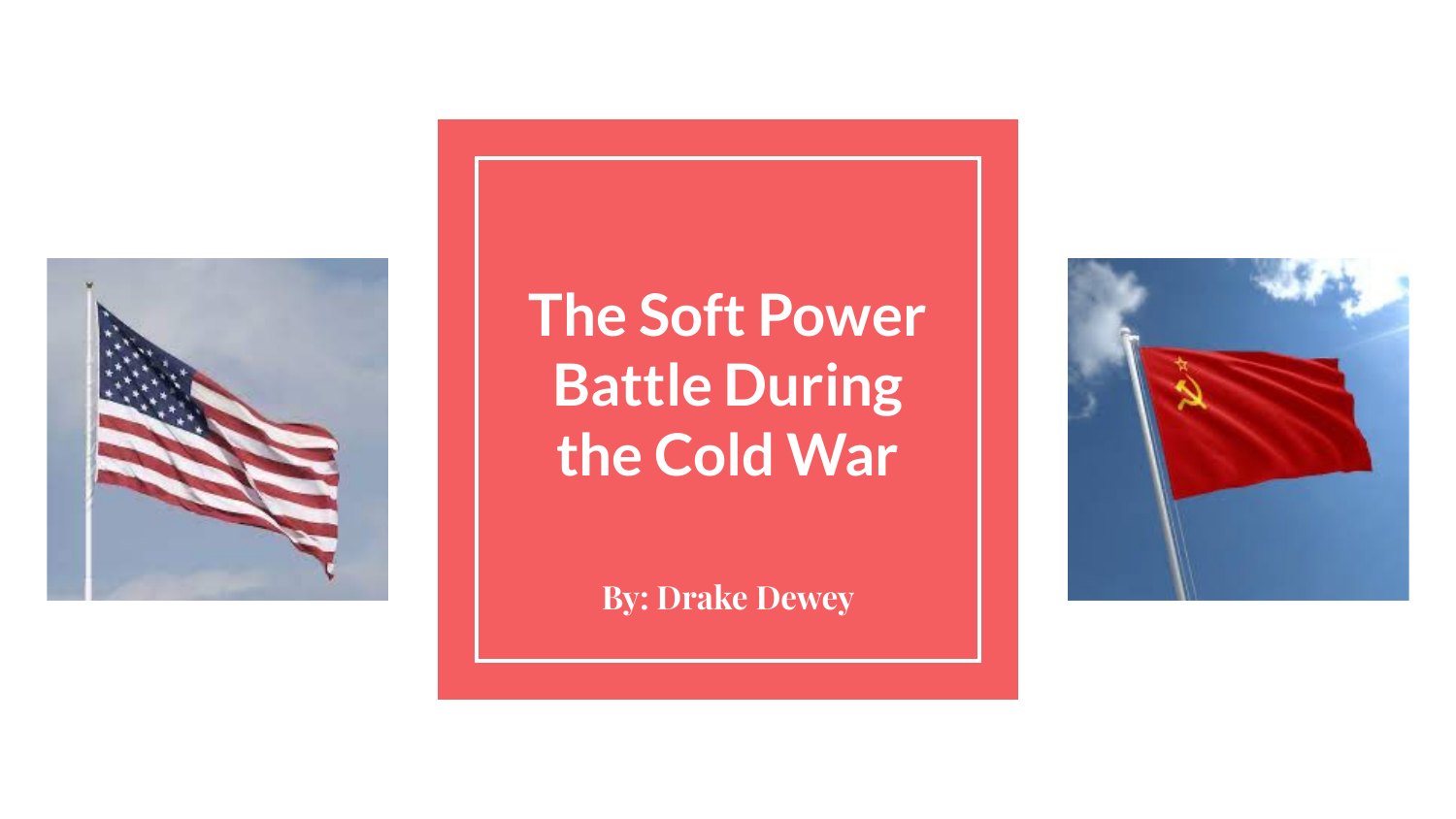

### **The Soft Power Battle During the Cold War**

**By: Drake Dewey**

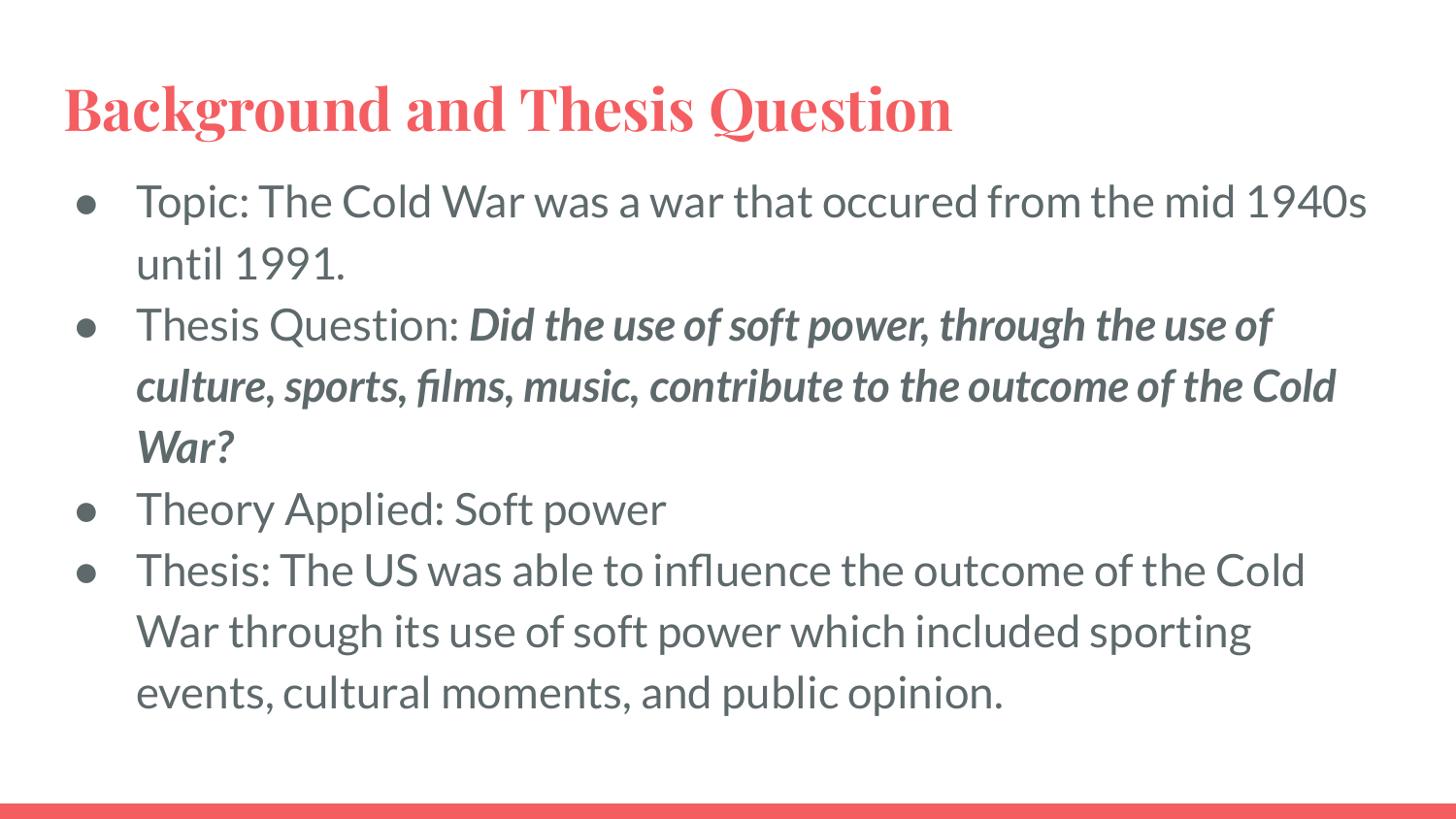# **Background and Thesis Question**

- Topic: The Cold War was a war that occured from the mid 1940s until 1991.
- Thesis Question: *Did the use of soft power, through the use of culture, sports, films, music, contribute to the outcome of the Cold War?*
- **Theory Applied: Soft power**
- Thesis: The US was able to influence the outcome of the Cold War through its use of soft power which included sporting events, cultural moments, and public opinion.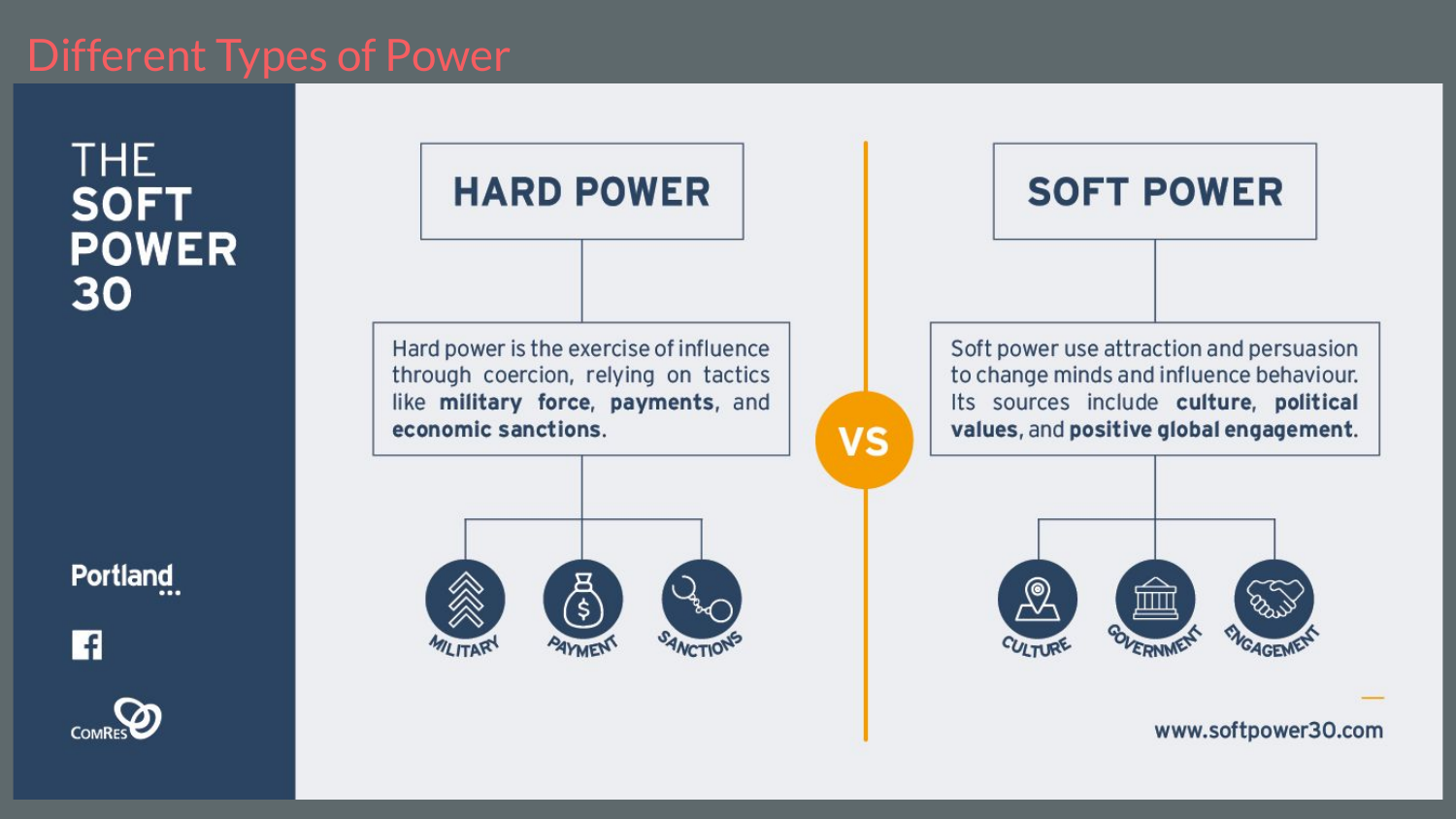THE. **SOFT POWER** 30

Portland

l f



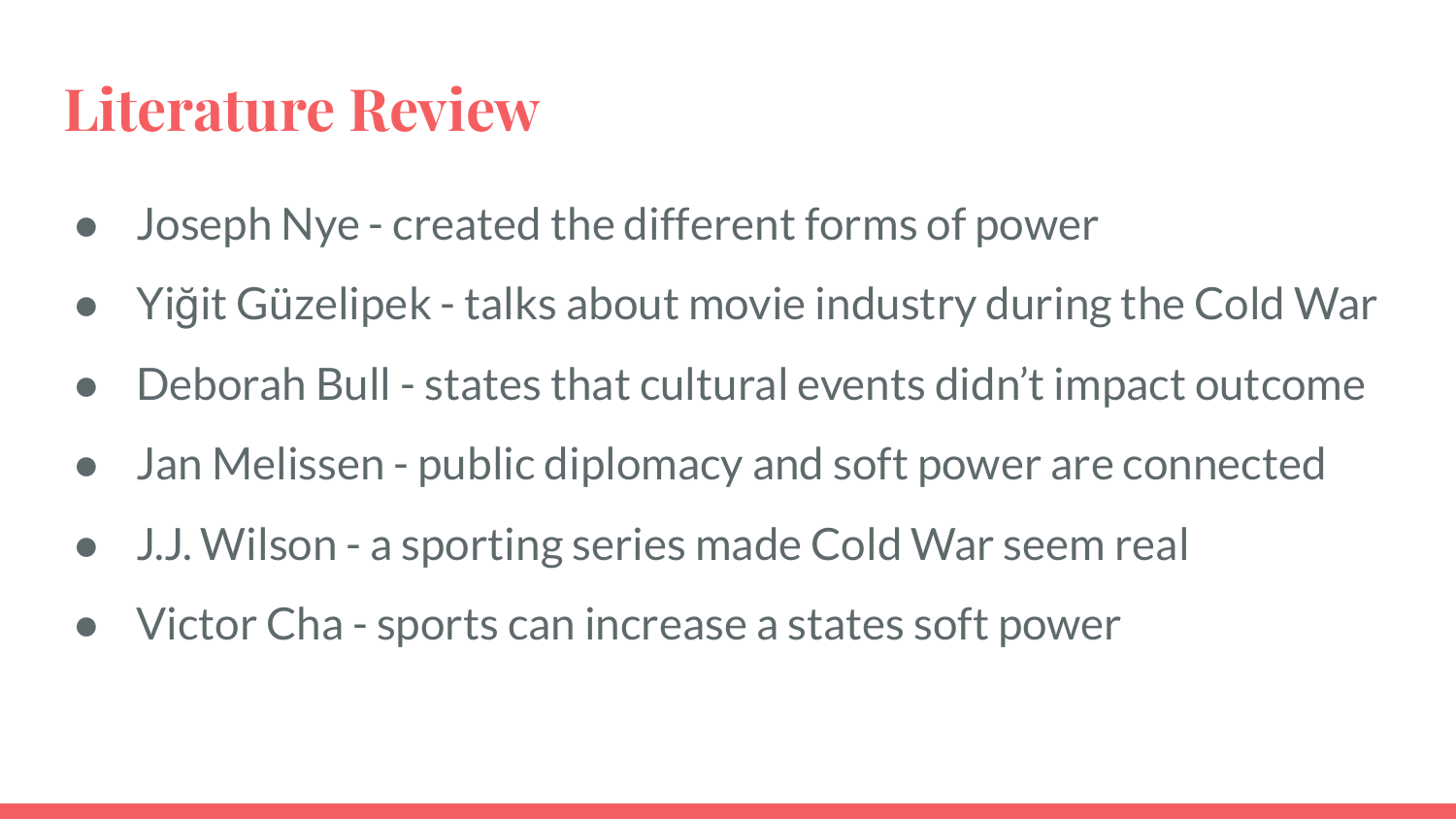#### **Literature Review**

- Joseph Nye created the different forms of power
- Yiğit Güzelipek talks about movie industry during the Cold War
- Deborah Bull states that cultural events didn't impact outcome
- Jan Melissen public diplomacy and soft power are connected
- J.J. Wilson a sporting series made Cold War seem real
- Victor Cha sports can increase a states soft power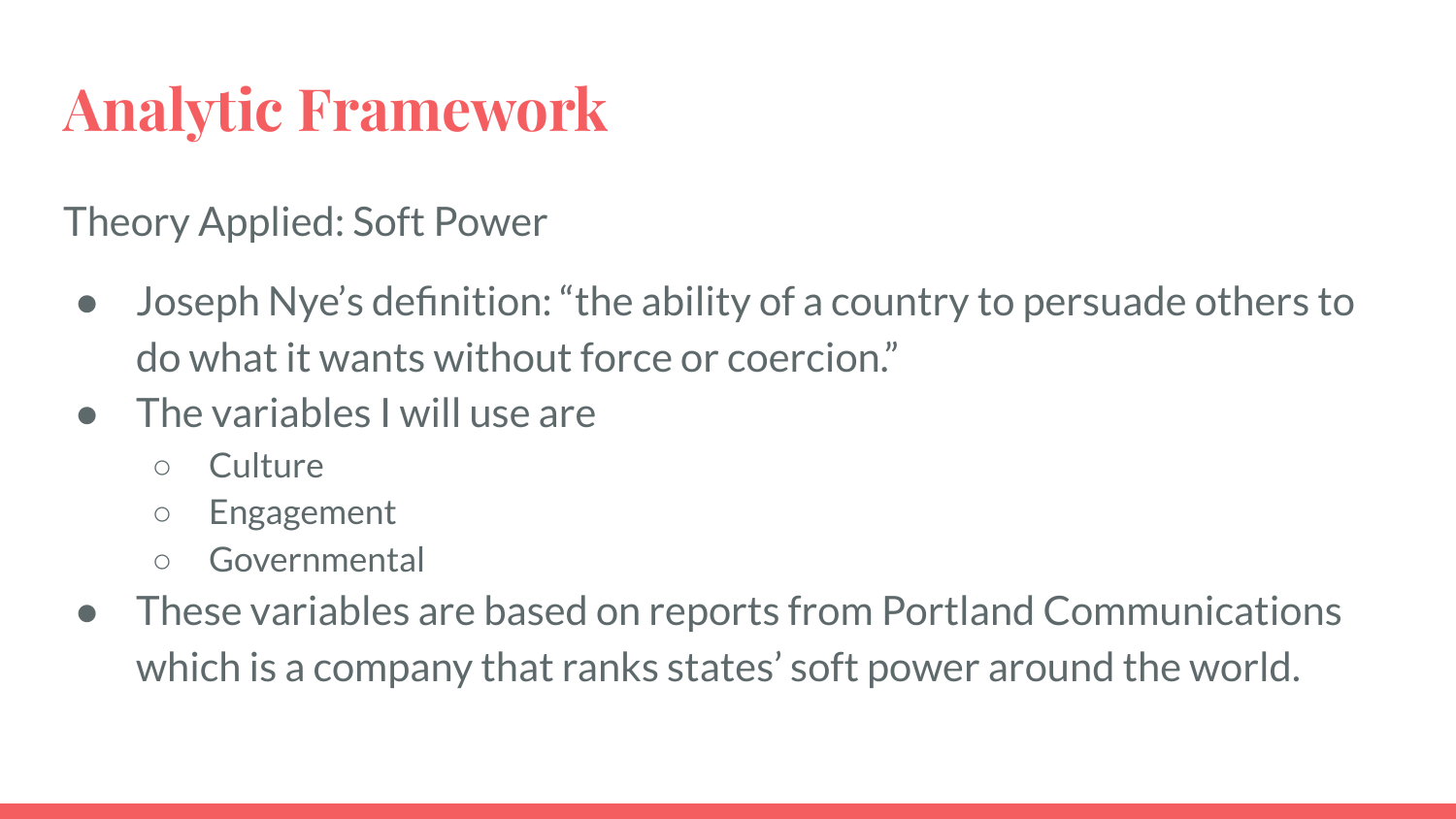## **Analytic Framework**

Theory Applied: Soft Power

- Joseph Nye's definition: "the ability of a country to persuade others to do what it wants without force or coercion."
- The variables I will use are
	- Culture
	- Engagement
	- Governmental
- These variables are based on reports from Portland Communications which is a company that ranks states' soft power around the world.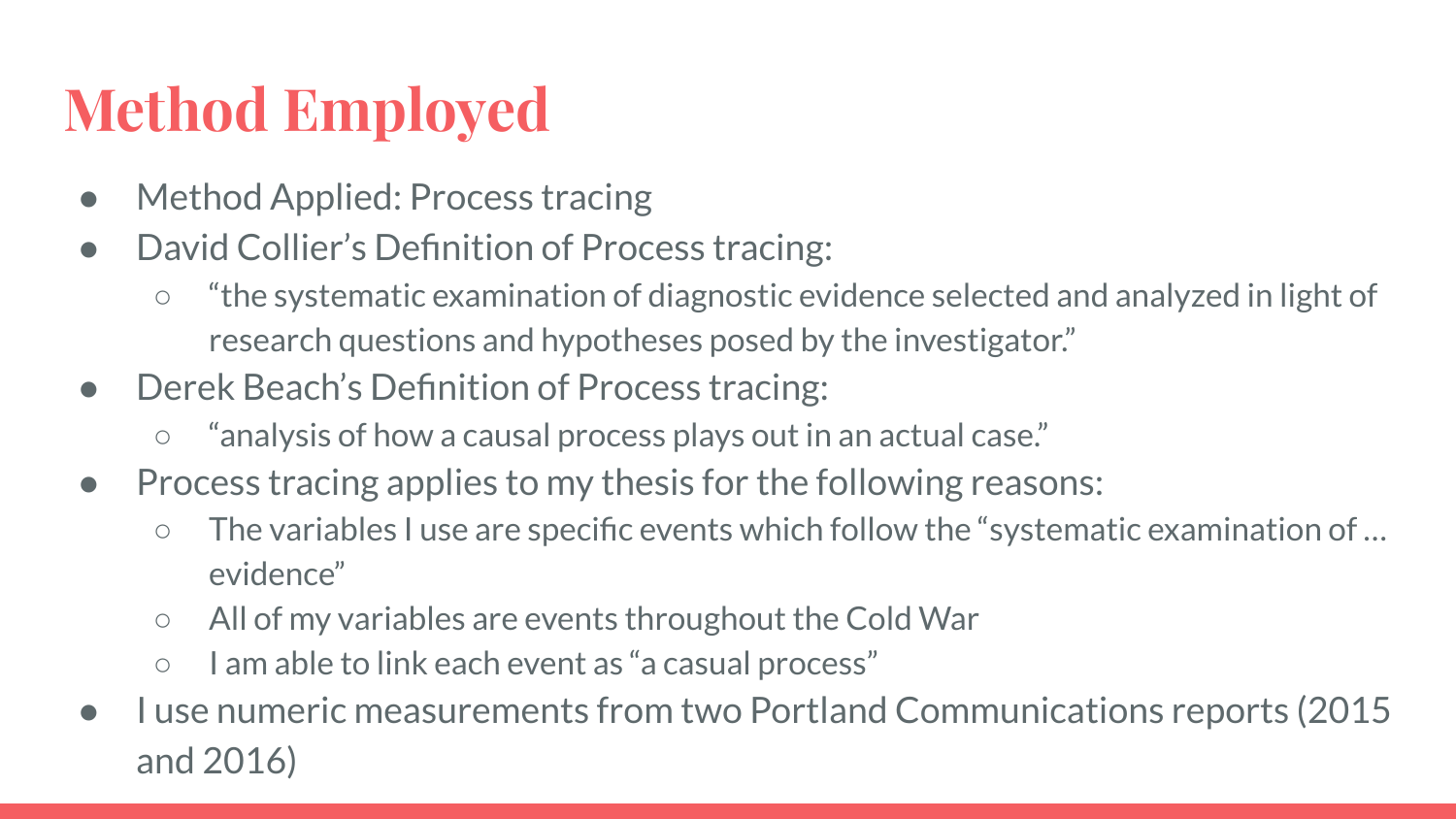# **Method Employed**

- Method Applied: Process tracing
- David Collier's Definition of Process tracing:
	- "the systematic examination of diagnostic evidence selected and analyzed in light of research questions and hypotheses posed by the investigator."
- Derek Beach's Definition of Process tracing:
	- "analysis of how a causal process plays out in an actual case."
- Process tracing applies to my thesis for the following reasons:
	- The variables I use are specific events which follow the "systematic examination of … evidence"
	- All of my variables are events throughout the Cold War
	- I am able to link each event as "a casual process"
- I use numeric measurements from two Portland Communications reports (2015) and 2016)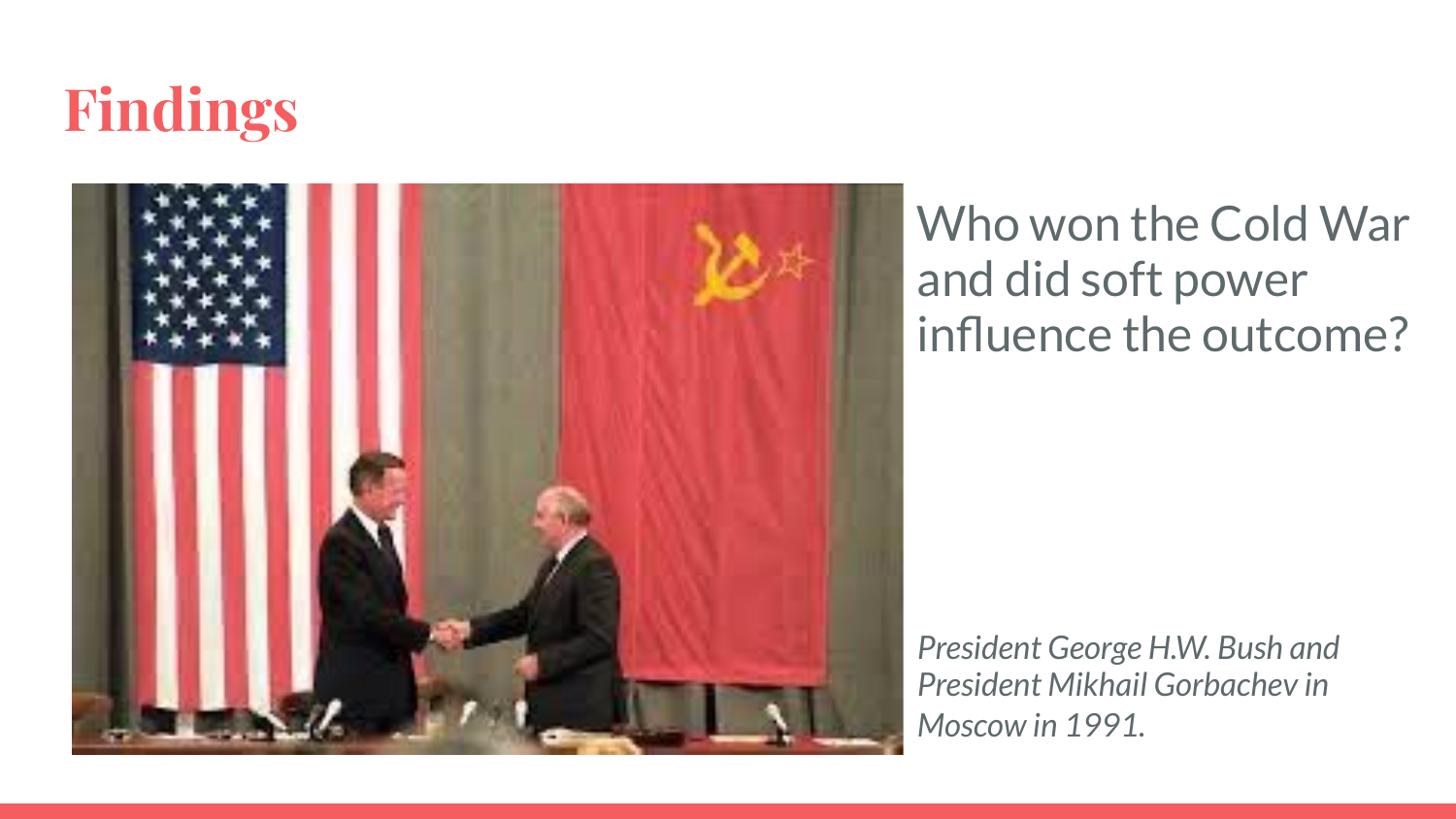



Who won the Cold War and did soft power influence the outcome?

*President George H.W. Bush and President Mikhail Gorbachev in Moscow in 1991.*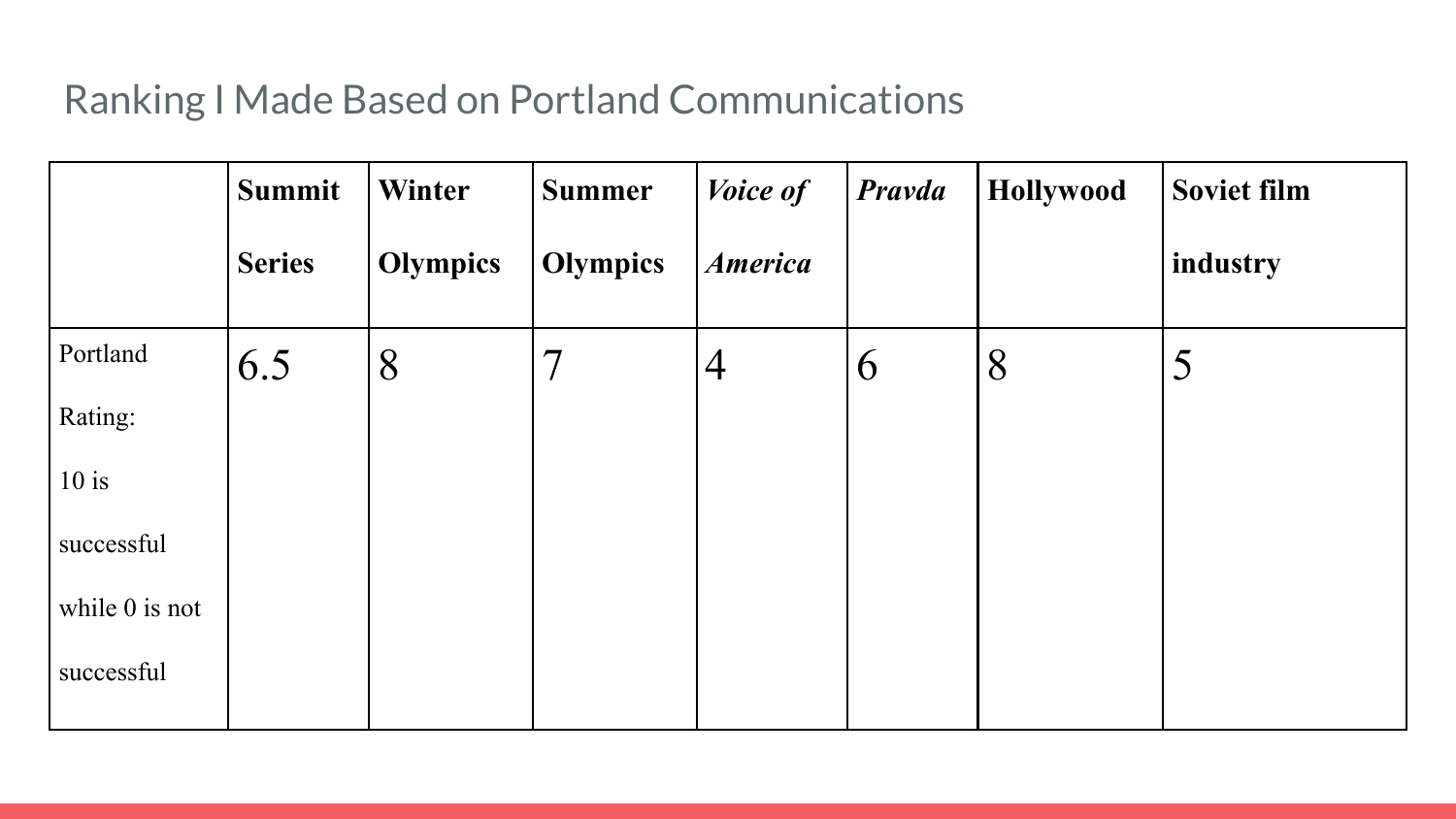#### Ranking I Made Based on Portland Communications

|                  | <b>Summit</b> | Winter          | <b>Summer</b>            | Voice of       | Pravda | Hollywood | <b>Soviet film</b> |
|------------------|---------------|-----------------|--------------------------|----------------|--------|-----------|--------------------|
|                  | <b>Series</b> | <b>Olympics</b> | <b>Olympics</b>          | <b>America</b> |        |           | industry           |
| Portland         | 6.5           | 8               | $\overline{\mathcal{I}}$ | $\overline{4}$ | 6      | 8         | 5                  |
| Rating:          |               |                 |                          |                |        |           |                    |
| $10$ is          |               |                 |                          |                |        |           |                    |
| successful       |               |                 |                          |                |        |           |                    |
| while $0$ is not |               |                 |                          |                |        |           |                    |
| successful       |               |                 |                          |                |        |           |                    |